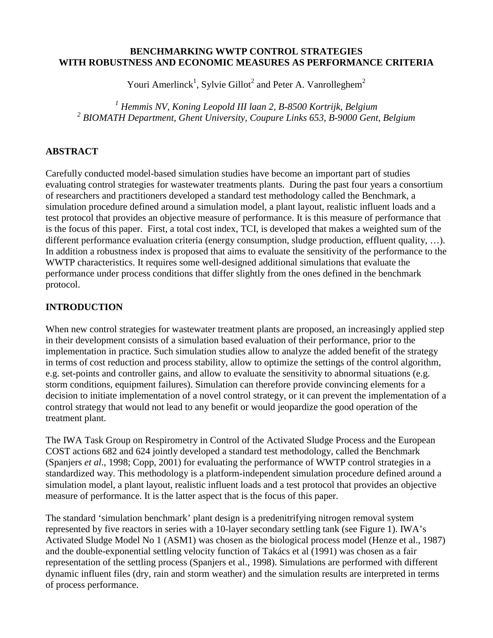#### **BENCHMARKING WWTP CONTROL STRATEGIES WITH ROBUSTNESS AND ECONOMIC MEASURES AS PERFORMANCE CRITERIA**

Youri Amerlinck<sup>1</sup>, Sylvie Gillot<sup>2</sup> and Peter A. Vanrolleghem<sup>2</sup>

*1 Hemmis NV, Koning Leopold III laan 2, B-8500 Kortrijk, Belgium* <sup>2</sup> BIOMATH Department, Ghent University, Coupure Links 653, B-9000 Gent, Belgium

## **ABSTRACT**

Carefully conducted model-based simulation studies have become an important part of studies evaluating control strategies for wastewater treatments plants. During the past four years a consortium of researchers and practitioners developed a standard test methodology called the Benchmark, a simulation procedure defined around a simulation model, a plant layout, realistic influent loads and a test protocol that provides an objective measure of performance. It is this measure of performance that is the focus of this paper. First, a total cost index, TCI, is developed that makes a weighted sum of the different performance evaluation criteria (energy consumption, sludge production, effluent quality, …). In addition a robustness index is proposed that aims to evaluate the sensitivity of the performance to the WWTP characteristics. It requires some well-designed additional simulations that evaluate the performance under process conditions that differ slightly from the ones defined in the benchmark protocol.

## **INTRODUCTION**

When new control strategies for wastewater treatment plants are proposed, an increasingly applied step in their development consists of a simulation based evaluation of their performance, prior to the implementation in practice. Such simulation studies allow to analyze the added benefit of the strategy in terms of cost reduction and process stability, allow to optimize the settings of the control algorithm, e.g. set-points and controller gains, and allow to evaluate the sensitivity to abnormal situations (e.g. storm conditions, equipment failures). Simulation can therefore provide convincing elements for a decision to initiate implementation of a novel control strategy, or it can prevent the implementation of a control strategy that would not lead to any benefit or would jeopardize the good operation of the treatment plant.

The IWA Task Group on Respirometry in Control of the Activated Sludge Process and the European COST actions 682 and 624 jointly developed a standard test methodology, called the Benchmark (Spanjers *et al*., 1998; Copp, 2001) for evaluating the performance of WWTP control strategies in a standardized way. This methodology is a platform-independent simulation procedure defined around a simulation model, a plant layout, realistic influent loads and a test protocol that provides an objective measure of performance. It is the latter aspect that is the focus of this paper.

The standard 'simulation benchmark' plant design is a predenitrifying nitrogen removal system represented by five reactors in series with a 10-layer secondary settling tank (see Figure 1). IWA's Activated Sludge Model No 1 (ASM1) was chosen as the biological process model (Henze et al., 1987) and the double-exponential settling velocity function of Takács et al (1991) was chosen as a fair representation of the settling process (Spanjers et al., 1998). Simulations are performed with different dynamic influent files (dry, rain and storm weather) and the simulation results are interpreted in terms of process performance.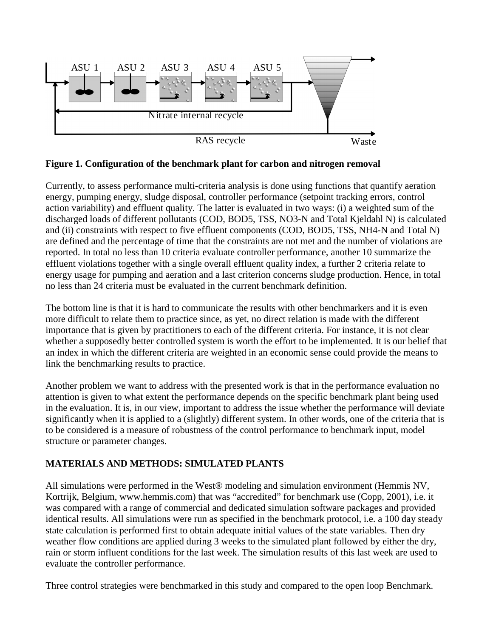

**Figure 1. Configuration of the benchmark plant for carbon and nitrogen removal**

Currently, to assess performance multi-criteria analysis is done using functions that quantify aeration energy, pumping energy, sludge disposal, controller performance (setpoint tracking errors, control action variability) and effluent quality. The latter is evaluated in two ways: (i) a weighted sum of the discharged loads of different pollutants (COD, BOD5, TSS, NO3-N and Total Kjeldahl N) is calculated and (ii) constraints with respect to five effluent components (COD, BOD5, TSS, NH4-N and Total N) are defined and the percentage of time that the constraints are not met and the number of violations are reported. In total no less than 10 criteria evaluate controller performance, another 10 summarize the effluent violations together with a single overall effluent quality index, a further 2 criteria relate to energy usage for pumping and aeration and a last criterion concerns sludge production. Hence, in total no less than 24 criteria must be evaluated in the current benchmark definition.

The bottom line is that it is hard to communicate the results with other benchmarkers and it is even more difficult to relate them to practice since, as yet, no direct relation is made with the different importance that is given by practitioners to each of the different criteria. For instance, it is not clear whether a supposedly better controlled system is worth the effort to be implemented. It is our belief that an index in which the different criteria are weighted in an economic sense could provide the means to link the benchmarking results to practice.

Another problem we want to address with the presented work is that in the performance evaluation no attention is given to what extent the performance depends on the specific benchmark plant being used in the evaluation. It is, in our view, important to address the issue whether the performance will deviate significantly when it is applied to a (slightly) different system. In other words, one of the criteria that is to be considered is a measure of robustness of the control performance to benchmark input, model structure or parameter changes.

# **MATERIALS AND METHODS: SIMULATED PLANTS**

All simulations were performed in the West® modeling and simulation environment (Hemmis NV, Kortrijk, Belgium, www.hemmis.com) that was "accredited" for benchmark use (Copp, 2001), i.e. it was compared with a range of commercial and dedicated simulation software packages and provided identical results. All simulations were run as specified in the benchmark protocol, i.e. a 100 day steady state calculation is performed first to obtain adequate initial values of the state variables. Then dry weather flow conditions are applied during 3 weeks to the simulated plant followed by either the dry, rain or storm influent conditions for the last week. The simulation results of this last week are used to evaluate the controller performance.

Three control strategies were benchmarked in this study and compared to the open loop Benchmark.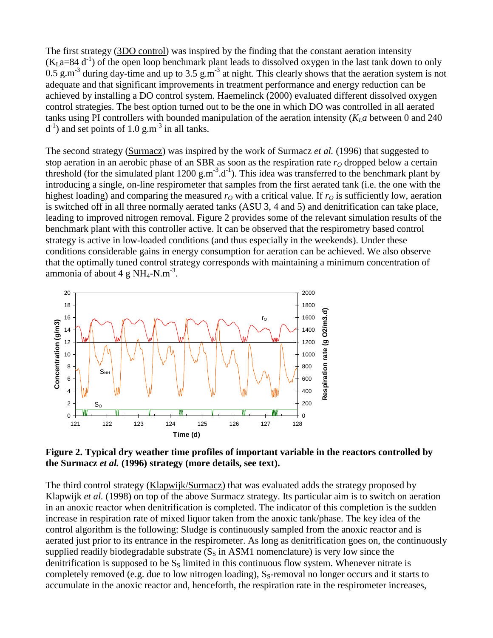The first strategy (3DO control) was inspired by the finding that the constant aeration intensity  $(K_La=84 d^{-1})$  of the open loop benchmark plant leads to dissolved oxygen in the last tank down to only  $0.5$  g.m<sup>-3</sup> during day-time and up to 3.5 g.m<sup>-3</sup> at night. This clearly shows that the aeration system is not adequate and that significant improvements in treatment performance and energy reduction can be achieved by installing a DO control system. Haemelinck (2000) evaluated different dissolved oxygen control strategies. The best option turned out to be the one in which DO was controlled in all aerated tanks using PI controllers with bounded manipulation of the aeration intensity ( $K<sub>L</sub>a$  between 0 and 240)  $d^{-1}$ ) and set points of 1.0 g.m<sup>-3</sup> in all tanks.

The second strategy (Surmacz) was inspired by the work of Surmacz *et al.* (1996) that suggested to stop aeration in an aerobic phase of an SBR as soon as the respiration rate  $r<sub>O</sub>$  dropped below a certain threshold (for the simulated plant 1200 g.m<sup>-3</sup>.d<sup>-1</sup>). This idea was transferred to the benchmark plant by introducing a single, on-line respirometer that samples from the first aerated tank (i.e. the one with the highest loading) and comparing the measured  $r<sub>O</sub>$  with a critical value. If  $r<sub>O</sub>$  is sufficiently low, aeration is switched off in all three normally aerated tanks (ASU 3, 4 and 5) and denitrification can take place, leading to improved nitrogen removal. Figure 2 provides some of the relevant simulation results of the benchmark plant with this controller active. It can be observed that the respirometry based control strategy is active in low-loaded conditions (and thus especially in the weekends). Under these conditions considerable gains in energy consumption for aeration can be achieved. We also observe that the optimally tuned control strategy corresponds with maintaining a minimum concentration of ammonia of about 4 g  $NH_4-N.m^{-3}$ .



**Figure 2. Typical dry weather time profiles of important variable in the reactors controlled by the Surmacz** *et al.* **(1996) strategy (more details, see text).**

The third control strategy (Klapwijk/Surmacz) that was evaluated adds the strategy proposed by Klapwijk *et al.* (1998) on top of the above Surmacz strategy. Its particular aim is to switch on aeration in an anoxic reactor when denitrification is completed. The indicator of this completion is the sudden increase in respiration rate of mixed liquor taken from the anoxic tank/phase. The key idea of the control algorithm is the following: Sludge is continuously sampled from the anoxic reactor and is aerated just prior to its entrance in the respirometer. As long as denitrification goes on, the continuously supplied readily biodegradable substrate  $(S<sub>S</sub>$  in ASM1 nomenclature) is very low since the denitrification is supposed to be  $S_s$  limited in this continuous flow system. Whenever nitrate is completely removed (e.g. due to low nitrogen loading),  $S<sub>S</sub>$ -removal no longer occurs and it starts to accumulate in the anoxic reactor and, henceforth, the respiration rate in the respirometer increases,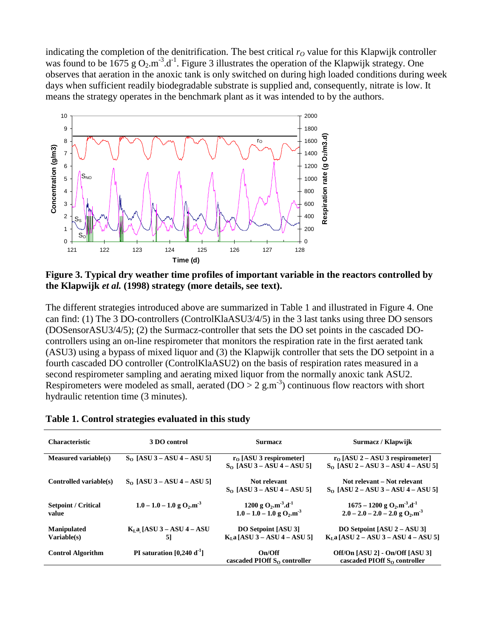indicating the completion of the denitrification. The best critical  $r<sub>O</sub>$  value for this Klapwijk controller was found to be 1675 g  $O_2.m^{-3}.d^{-1}$ . Figure 3 illustrates the operation of the Klapwijk strategy. One observes that aeration in the anoxic tank is only switched on during high loaded conditions during week days when sufficient readily biodegradable substrate is supplied and, consequently, nitrate is low. It means the strategy operates in the benchmark plant as it was intended to by the authors.



**Figure 3. Typical dry weather time profiles of important variable in the reactors controlled by the Klapwijk** *et al.* **(1998) strategy (more details, see text).**

The different strategies introduced above are summarized in Table 1 and illustrated in Figure 4. One can find: (1) The 3 DO-controllers (ControlKlaASU3/4/5) in the 3 last tanks using three DO sensors (DOSensorASU3/4/5); (2) the Surmacz-controller that sets the DO set points in the cascaded DOcontrollers using an on-line respirometer that monitors the respiration rate in the first aerated tank (ASU3) using a bypass of mixed liquor and (3) the Klapwijk controller that sets the DO setpoint in a fourth cascaded DO controller (ControlKlaASU2) on the basis of respiration rates measured in a second respirometer sampling and aerating mixed liquor from the normally anoxic tank ASU2. Respirometers were modeled as small, aerated ( $DO > 2$  g.m<sup>-3</sup>) continuous flow reactors with short hydraulic retention time (3 minutes).

| <b>Characteristic</b>               | 3 DO control                     | Surmacz                                                     | Surmacz / Klapwijk                                                                                                            |  |
|-------------------------------------|----------------------------------|-------------------------------------------------------------|-------------------------------------------------------------------------------------------------------------------------------|--|
| <b>Measured variable(s)</b>         | $S_0$ [ASU 3 – ASU 4 – ASU 5]    | $r_0$ [ASU 3 respiremeter]<br>$S_0$ [ASU 3 – ASU 4 – ASU 5] | $r_0$ [ASU 2 – ASU 3 respiremeter]<br>$S_0$ [ASU 2 – ASU 3 – ASU 4 – ASU 5]                                                   |  |
| Controlled variable(s)              | $S_0$ [ASU 3 – ASU 4 – ASU 5]    | Not relevant<br>$S_0$ [ASU 3 – ASU 4 – ASU 5]               | Not relevant – Not relevant<br>$S_0$ [ASU 2 – ASU 3 – ASU 4 – ASU 5]                                                          |  |
| <b>Setpoint / Critical</b><br>value | $1.0 - 1.0 - 1.0$ g $O_2.m^{-3}$ | 1200 g $O_2.m^{-3}.d^{-1}$<br>$1.0 - 1.0 - 1.0 g O2 m-3$    | $1675 - 1200$ g O <sub>2</sub> .m <sup>-3</sup> .d <sup>-1</sup><br>$2.0 - 2.0 - 2.0 - 2.0$ g O <sub>2</sub> .m <sup>-3</sup> |  |
| <b>Manipulated</b><br>Variable(s)   | $KLa [ASU 3 - ASU 4 - ASU$<br>51 | <b>DO Setpoint [ASU 3]</b><br>$KLa [ASU 3 - ASU 4 - ASU 5]$ | DO Setpoint $[ASU 2 - ASU 3]$<br>$KLa [ASU 2 - ASU 3 - ASU 4 - ASU 5]$                                                        |  |
| <b>Control Algorithm</b>            | PI saturation $[0,240 d-1]$      | On/Off<br>cascaded PIOff $S_0$ controller                   | Off/On [ASU 2] - On/Off [ASU 3]<br>cascaded PIOff $S_0$ controller                                                            |  |

**Table 1. Control strategies evaluated in this study**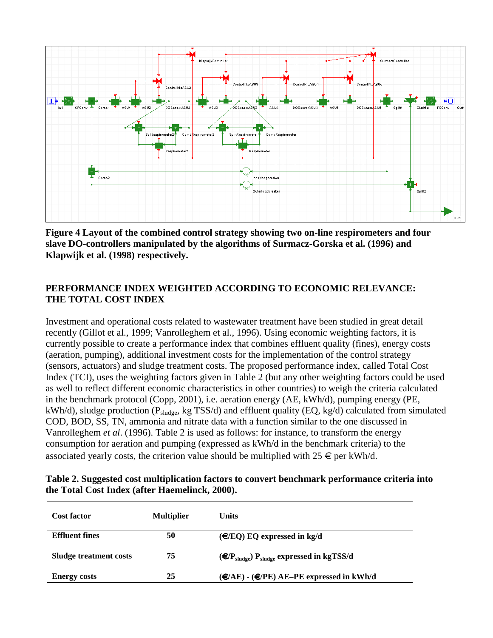

**Figure 4 Layout of the combined control strategy showing two on-line respirometers and four slave DO-controllers manipulated by the algorithms of Surmacz-Gorska et al. (1996) and Klapwijk et al. (1998) respectively.**

## **PERFORMANCE INDEX WEIGHTED ACCORDING TO ECONOMIC RELEVANCE: THE TOTAL COST INDEX**

Investment and operational costs related to wastewater treatment have been studied in great detail recently (Gillot et al., 1999; Vanrolleghem et al., 1996). Using economic weighting factors, it is currently possible to create a performance index that combines effluent quality (fines), energy costs (aeration, pumping), additional investment costs for the implementation of the control strategy (sensors, actuators) and sludge treatment costs. The proposed performance index, called Total Cost Index (TCI), uses the weighting factors given in Table 2 (but any other weighting factors could be used as well to reflect different economic characteristics in other countries) to weigh the criteria calculated in the benchmark protocol (Copp, 2001), i.e. aeration energy (AE, kWh/d), pumping energy (PE, kWh/d), sludge production ( $P_{sludge}$ , kg TSS/d) and effluent quality (EQ, kg/d) calculated from simulated COD, BOD, SS, TN, ammonia and nitrate data with a function similar to the one discussed in Vanrolleghem *et al*. (1996). Table 2 is used as follows: for instance, to transform the energy consumption for aeration and pumping (expressed as kWh/d in the benchmark criteria) to the associated yearly costs, the criterion value should be multiplied with  $25 \in \text{per kWh/d}$ .

#### **Table 2. Suggested cost multiplication factors to convert benchmark performance criteria into the Total Cost Index (after Haemelinck, 2000).**

| <b>Cost factor</b>            | <b>Multiplier</b> | Units                                                                   |
|-------------------------------|-------------------|-------------------------------------------------------------------------|
| <b>Effluent fines</b>         | 50                | $(\epsilon/EQ)EQ$ expressed in kg/d                                     |
| <b>Sludge treatment costs</b> | 75                | $(\epsilon P_{\text{sludge}})$ $P_{\text{sludge}}$ expressed in kgTSS/d |
| <b>Energy costs</b>           | 25                | $(\epsilon/AE)$ - $(\epsilon/PE)$ AE–PE expressed in kWh/d              |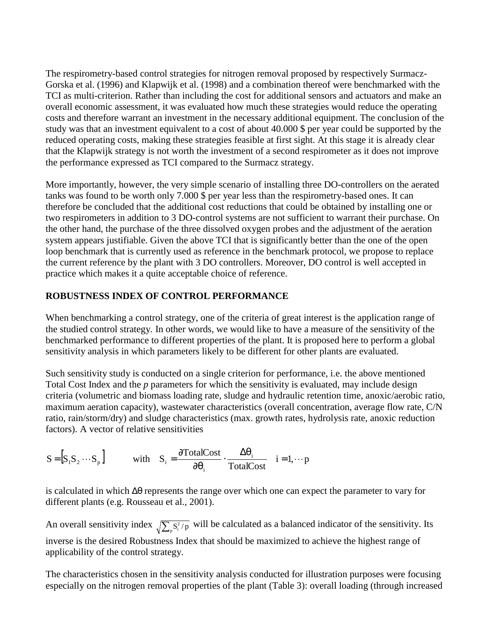The respirometry-based control strategies for nitrogen removal proposed by respectively Surmacz-Gorska et al. (1996) and Klapwijk et al. (1998) and a combination thereof were benchmarked with the TCI as multi-criterion. Rather than including the cost for additional sensors and actuators and make an overall economic assessment, it was evaluated how much these strategies would reduce the operating costs and therefore warrant an investment in the necessary additional equipment. The conclusion of the study was that an investment equivalent to a cost of about 40.000 \$ per year could be supported by the reduced operating costs, making these strategies feasible at first sight. At this stage it is already clear that the Klapwijk strategy is not worth the investment of a second respirometer as it does not improve the performance expressed as TCI compared to the Surmacz strategy.

More importantly, however, the very simple scenario of installing three DO-controllers on the aerated tanks was found to be worth only 7.000 \$ per year less than the respirometry-based ones. It can therefore be concluded that the additional cost reductions that could be obtained by installing one or two respirometers in addition to 3 DO-control systems are not sufficient to warrant their purchase. On the other hand, the purchase of the three dissolved oxygen probes and the adjustment of the aeration system appears justifiable. Given the above TCI that is significantly better than the one of the open loop benchmark that is currently used as reference in the benchmark protocol, we propose to replace the current reference by the plant with 3 DO controllers. Moreover, DO control is well accepted in practice which makes it a quite acceptable choice of reference.

#### **ROBUSTNESS INDEX OF CONTROL PERFORMANCE**

When benchmarking a control strategy, one of the criteria of great interest is the application range of the studied control strategy. In other words, we would like to have a measure of the sensitivity of the benchmarked performance to different properties of the plant. It is proposed here to perform a global sensitivity analysis in which parameters likely to be different for other plants are evaluated.

Such sensitivity study is conducted on a single criterion for performance, i.e. the above mentioned Total Cost Index and the *p* parameters for which the sensitivity is evaluated, may include design criteria (volumetric and biomass loading rate, sludge and hydraulic retention time, anoxic/aerobic ratio, maximum aeration capacity), wastewater characteristics (overall concentration, average flow rate, C/N ratio, rain/storm/dry) and sludge characteristics (max. growth rates, hydrolysis rate, anoxic reduction factors). A vector of relative sensitivities

$$
S = [S_1 S_2 \cdots S_p]
$$
 with 
$$
S_i = \frac{\partial \text{TotalCost}}{\partial \theta_i} \cdot \frac{\Delta \theta_i}{\text{TotalCost}} \quad i = 1, \cdots p
$$

is calculated in which ∆θ represents the range over which one can expect the parameter to vary for different plants (e.g. Rousseau et al., 2001).

An overall sensitivity index  $\sqrt{\sum_{p} s_i^2 / p}$  will be calculated as a balanced indicator of the sensitivity. Its inverse is the desired Robustness Index that should be maximized to achieve the highest range of applicability of the control strategy.

The characteristics chosen in the sensitivity analysis conducted for illustration purposes were focusing especially on the nitrogen removal properties of the plant (Table 3): overall loading (through increased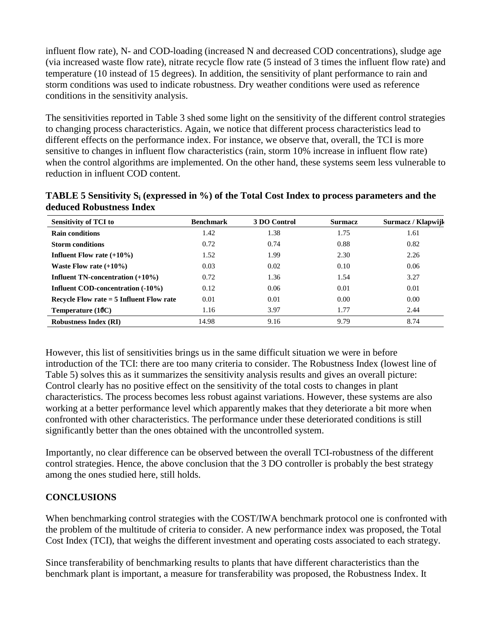influent flow rate), N- and COD-loading (increased N and decreased COD concentrations), sludge age (via increased waste flow rate), nitrate recycle flow rate (5 instead of 3 times the influent flow rate) and temperature (10 instead of 15 degrees). In addition, the sensitivity of plant performance to rain and storm conditions was used to indicate robustness. Dry weather conditions were used as reference conditions in the sensitivity analysis.

The sensitivities reported in Table 3 shed some light on the sensitivity of the different control strategies to changing process characteristics. Again, we notice that different process characteristics lead to different effects on the performance index. For instance, we observe that, overall, the TCI is more sensitive to changes in influent flow characteristics (rain, storm 10% increase in influent flow rate) when the control algorithms are implemented. On the other hand, these systems seem less vulnerable to reduction in influent COD content.

**TABLE 5 Sensitivity Si (expressed in %) of the Total Cost Index to process parameters and the deduced Robustness Index**

| <b>Sensitivity of TCI to</b>               | <b>Benchmark</b> | 3 DO Control | <b>Surmacz</b> | Surmacz / Klapwijk |
|--------------------------------------------|------------------|--------------|----------------|--------------------|
| <b>Rain conditions</b>                     | 1.42             | 1.38         | 1.75           | 1.61               |
| <b>Storm conditions</b>                    | 0.72             | 0.74         | 0.88           | 0.82               |
| Influent Flow rate $(+10\%)$               | 1.52             | 1.99         | 2.30           | 2.26               |
| Waste Flow rate $(+10\%)$                  | 0.03             | 0.02         | 0.10           | 0.06               |
| Influent TN-concentration $(+10\%)$        | 0.72             | 1.36         | 1.54           | 3.27               |
| Influent COD-concentration (-10%)          | 0.12             | 0.06         | 0.01           | 0.01               |
| Recycle Flow rate $=$ 5 Influent Flow rate | 0.01             | 0.01         | 0.00           | 0.00               |
| Temperature (10C)                          | 1.16             | 3.97         | 1.77           | 2.44               |
| <b>Robustness Index (RI)</b>               | 14.98            | 9.16         | 9.79           | 8.74               |

However, this list of sensitivities brings us in the same difficult situation we were in before introduction of the TCI: there are too many criteria to consider. The Robustness Index (lowest line of Table 5) solves this as it summarizes the sensitivity analysis results and gives an overall picture: Control clearly has no positive effect on the sensitivity of the total costs to changes in plant characteristics. The process becomes less robust against variations. However, these systems are also working at a better performance level which apparently makes that they deteriorate a bit more when confronted with other characteristics. The performance under these deteriorated conditions is still significantly better than the ones obtained with the uncontrolled system.

Importantly, no clear difference can be observed between the overall TCI-robustness of the different control strategies. Hence, the above conclusion that the 3 DO controller is probably the best strategy among the ones studied here, still holds.

# **CONCLUSIONS**

When benchmarking control strategies with the COST/IWA benchmark protocol one is confronted with the problem of the multitude of criteria to consider. A new performance index was proposed, the Total Cost Index (TCI), that weighs the different investment and operating costs associated to each strategy.

Since transferability of benchmarking results to plants that have different characteristics than the benchmark plant is important, a measure for transferability was proposed, the Robustness Index. It